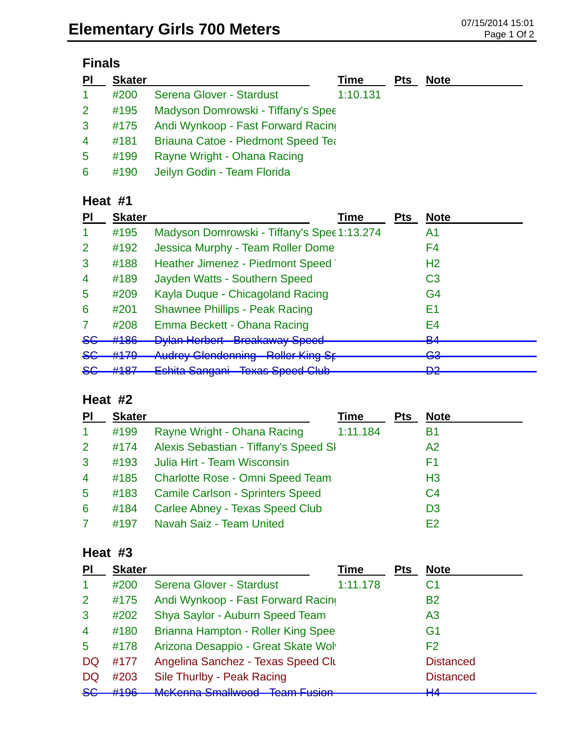# **Finals**

| PI             | <b>Skater</b> |                                           | Time     | <b>Pts</b> | <b>Note</b> |
|----------------|---------------|-------------------------------------------|----------|------------|-------------|
| $\mathbf{1}$   | #200          | Serena Glover - Stardust                  | 1:10.131 |            |             |
| 2 <sup>1</sup> | #195          | Madyson Domrowski - Tiffany's Spee        |          |            |             |
| 3 <sup>1</sup> | #175          | Andi Wynkoop - Fast Forward Racing        |          |            |             |
| $\overline{4}$ | #181          | <b>Briauna Catoe - Piedmont Speed Tea</b> |          |            |             |
| 5              | #199          | Rayne Wright - Ohana Racing               |          |            |             |
| 6              | #190          | Jeilyn Godin - Team Florida               |          |            |             |

## **Heat #1**

| ΡI              | <b>Skater</b>                  | Time                                                               | <b>Pts</b> | <b>Note</b>         |
|-----------------|--------------------------------|--------------------------------------------------------------------|------------|---------------------|
|                 | #195                           | Madyson Domrowski - Tiffany's Spee 1:13.274                        |            | A1                  |
| 2               | #192                           | Jessica Murphy - Team Roller Dome                                  |            | F4                  |
| 3               | #188                           | Heather Jimenez - Piedmont Speed                                   |            | H <sub>2</sub>      |
| 4               | #189                           | Jayden Watts - Southern Speed                                      |            | C <sub>3</sub>      |
| 5               | #209                           | Kayla Duque - Chicagoland Racing                                   |            | G <sub>4</sub>      |
| 6               | #201                           | <b>Shawnee Phillips - Peak Racing</b>                              |            | E1                  |
|                 | #208                           | Emma Beckett - Ohana Racing                                        |            | E4                  |
| <del>SG</del>   | #186                           | <b>Dylan Herbert Breakaway Speed</b><br><del>Droanaway Opoou</del> |            | D <sub>A</sub><br>▱ |
| <del>SG</del>   | $+170$                         | <b>Audrey Glendenning Roller King St</b>                           |            | ⊂≏<br>ञ्ज           |
| <u>ے۔</u><br>ᢦᢦ | <b>4407</b><br>$\pi$ to $\tau$ | Eshita Sangani Texas Speed Club<br><del>∟əmta ∪anyanı</del>        |            | no.<br>◘            |

## **Heat #2**

| PI              | <b>Skater</b> |                                         | Time     | <b>Pts</b> | <b>Note</b>    |
|-----------------|---------------|-----------------------------------------|----------|------------|----------------|
| $\mathbf{1}$    | #199          | Rayne Wright - Ohana Racing             | 1:11.184 |            | В1             |
| 2 <sup>1</sup>  | #174          | Alexis Sebastian - Tiffany's Speed SI   |          |            | A2             |
| $\mathbf{3}$    | #193          | Julia Hirt - Team Wisconsin             |          |            | F1             |
| $\overline{4}$  | #185          | <b>Charlotte Rose - Omni Speed Team</b> |          |            | H <sub>3</sub> |
| $5\phantom{.0}$ | #183          | <b>Camile Carlson - Sprinters Speed</b> |          |            | C <sub>4</sub> |
| 6               | #184          | Carlee Abney - Texas Speed Club         |          |            | D <sub>3</sub> |
| 7               | #197          | Navah Saiz - Team United                |          |            | F2             |

#### **Heat #3**

| PI             | <b>Skater</b> |                                    | Time     | Pts | <b>Note</b>        |
|----------------|---------------|------------------------------------|----------|-----|--------------------|
|                | #200          | Serena Glover - Stardust           | 1:11.178 |     | C <sub>1</sub>     |
| 2              | #175          | Andi Wynkoop - Fast Forward Racing |          |     | <b>B2</b>          |
| 3              | #202          | Shya Saylor - Auburn Speed Team    |          |     | A <sub>3</sub>     |
| $\overline{4}$ | #180          | Brianna Hampton - Roller King Spee |          |     | G <sub>1</sub>     |
| 5              | #178          | Arizona Desappio - Great Skate Wol |          |     | F <sub>2</sub>     |
| <b>DQ</b>      | #177          | Angelina Sanchez - Texas Speed Clu |          |     | <b>Distanced</b>   |
| DQ             | #203          | Sile Thurlby - Peak Racing         |          |     | <b>Distanced</b>   |
| $5$            | H10c          | Mokenna Smallwood Toam Eucion      |          |     | $\mathbf{H}$<br>mт |